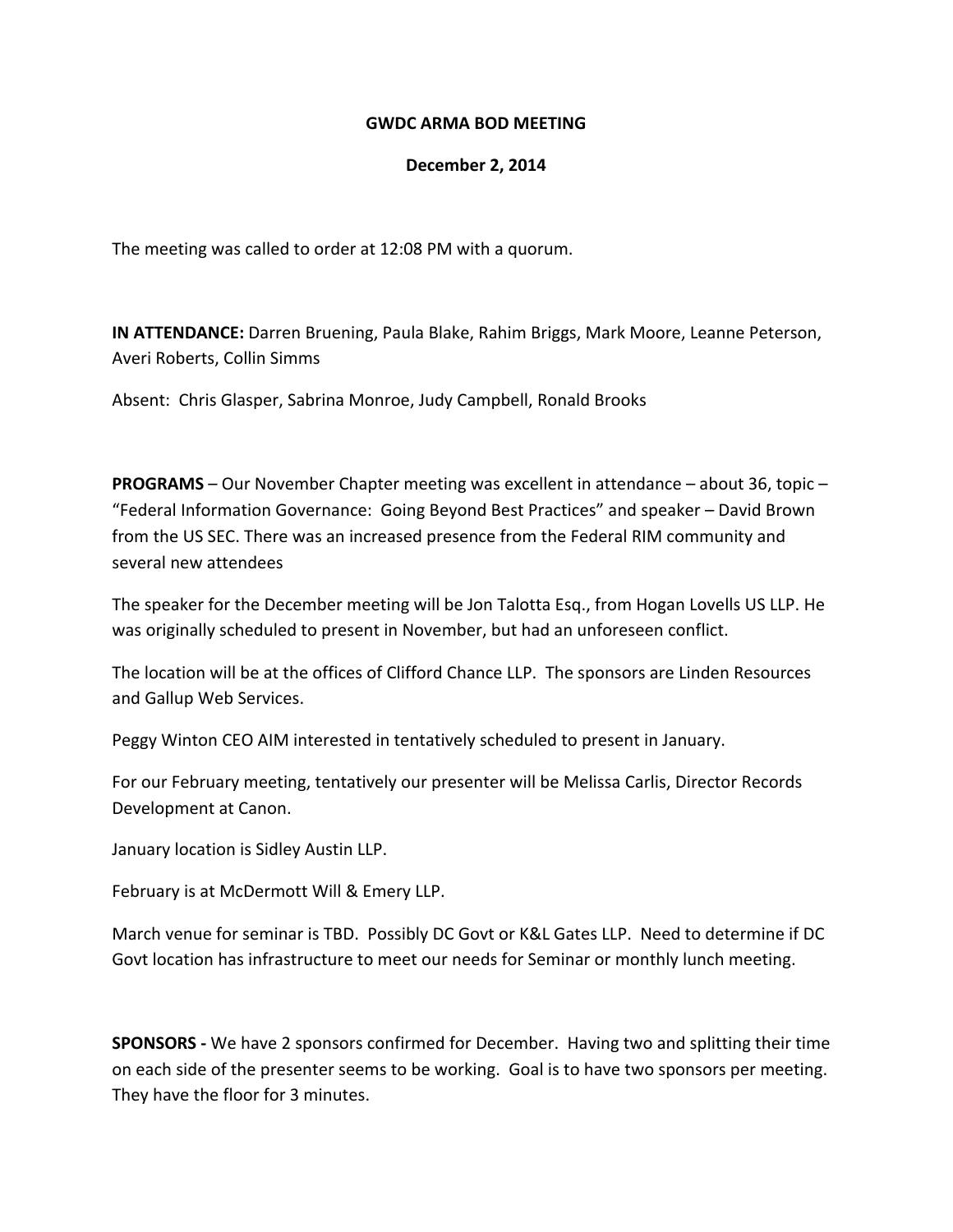## **GWDC ARMA BOD MEETING**

## **December 2, 2014**

The meeting was called to order at 12:08 PM with a quorum.

**IN ATTENDANCE:** Darren Bruening, Paula Blake, Rahim Briggs, Mark Moore, Leanne Peterson, Averi Roberts, Collin Simms

Absent: Chris Glasper, Sabrina Monroe, Judy Campbell, Ronald Brooks

**PROGRAMS** – Our November Chapter meeting was excellent in attendance – about 36, topic – "Federal Information Governance: Going Beyond Best Practices" and speaker - David Brown from the US SEC. There was an increased presence from the Federal RIM community and several new attendees

The speaker for the December meeting will be Jon Talotta Esq., from Hogan Lovells US LLP. He was originally scheduled to present in November, but had an unforeseen conflict.

The location will be at the offices of Clifford Chance LLP. The sponsors are Linden Resources and Gallup Web Services.

Peggy Winton CEO AIM interested in tentatively scheduled to present in January.

For our February meeting, tentatively our presenter will be Melissa Carlis, Director Records Development at Canon.

January location is Sidley Austin LLP.

February is at McDermott Will & Emery LLP.

March venue for seminar is TBD. Possibly DC Govt or K&L Gates LLP. Need to determine if DC Govt location has infrastructure to meet our needs for Seminar or monthly lunch meeting.

**SPONSORS** - We have 2 sponsors confirmed for December. Having two and splitting their time on each side of the presenter seems to be working. Goal is to have two sponsors per meeting. They have the floor for 3 minutes.